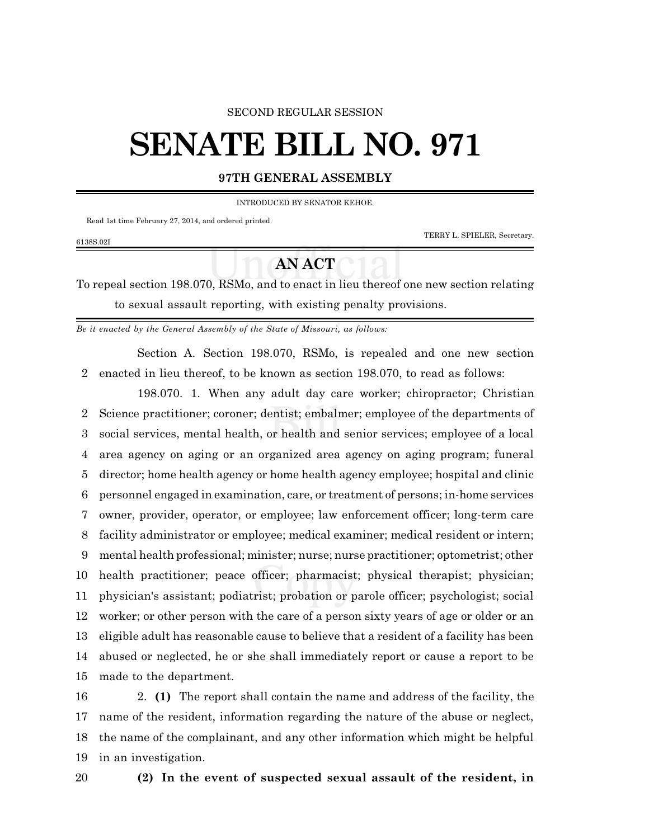### SECOND REGULAR SESSION

# **SENATE BILL NO. 971**

# **97TH GENERAL ASSEMBLY**

INTRODUCED BY SENATOR KEHOE.

Read 1st time February 27, 2014, and ordered printed.

6138S.02I

TERRY L. SPIELER, Secretary.

# **AN ACT**

To repeal section 198.070, RSMo, and to enact in lieu thereof one new section relating to sexual assault reporting, with existing penalty provisions.

*Be it enacted by the General Assembly of the State of Missouri, as follows:*

Section A. Section 198.070, RSMo, is repealed and one new section enacted in lieu thereof, to be known as section 198.070, to read as follows:

198.070. 1. When any adult day care worker; chiropractor; Christian Science practitioner; coroner; dentist; embalmer; employee of the departments of social services, mental health, or health and senior services; employee of a local area agency on aging or an organized area agency on aging program; funeral director; home health agency or home health agency employee; hospital and clinic personnel engaged in examination, care, or treatment of persons; in-home services owner, provider, operator, or employee; law enforcement officer; long-term care facility administrator or employee; medical examiner; medical resident or intern; mental health professional; minister; nurse; nurse practitioner; optometrist; other health practitioner; peace officer; pharmacist; physical therapist; physician; physician's assistant; podiatrist; probation or parole officer; psychologist; social worker; or other person with the care of a person sixty years of age or older or an eligible adult has reasonable cause to believe that a resident of a facility has been abused or neglected, he or she shall immediately report or cause a report to be made to the department.

 2. **(1)** The report shall contain the name and address of the facility, the name of the resident, information regarding the nature of the abuse or neglect, the name of the complainant, and any other information which might be helpful in an investigation.

## **(2) In the event of suspected sexual assault of the resident, in**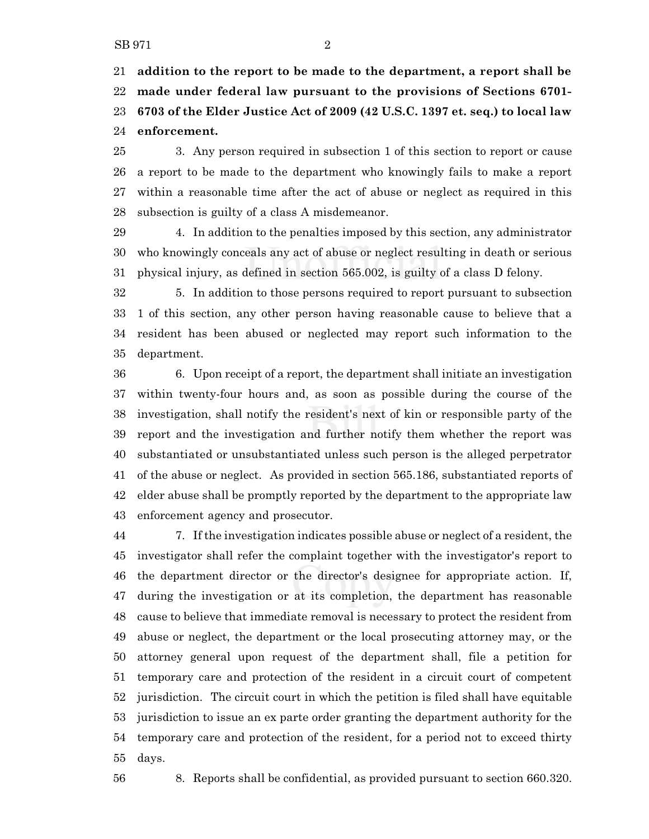**addition to the report to be made to the department, a report shall be made under federal law pursuant to the provisions of Sections 6701- 6703 of the Elder Justice Act of 2009 (42 U.S.C. 1397 et. seq.) to local law enforcement.**

 3. Any person required in subsection 1 of this section to report or cause a report to be made to the department who knowingly fails to make a report within a reasonable time after the act of abuse or neglect as required in this subsection is guilty of a class A misdemeanor.

 4. In addition to the penalties imposed by this section, any administrator who knowingly conceals any act of abuse or neglect resulting in death or serious physical injury, as defined in section 565.002, is guilty of a class D felony.

 5. In addition to those persons required to report pursuant to subsection 1 of this section, any other person having reasonable cause to believe that a resident has been abused or neglected may report such information to the department.

 6. Upon receipt of a report, the department shall initiate an investigation within twenty-four hours and, as soon as possible during the course of the investigation, shall notify the resident's next of kin or responsible party of the report and the investigation and further notify them whether the report was substantiated or unsubstantiated unless such person is the alleged perpetrator of the abuse or neglect. As provided in section 565.186, substantiated reports of elder abuse shall be promptly reported by the department to the appropriate law enforcement agency and prosecutor.

 7. If the investigation indicates possible abuse or neglect of a resident, the investigator shall refer the complaint together with the investigator's report to the department director or the director's designee for appropriate action. If, during the investigation or at its completion, the department has reasonable cause to believe that immediate removal is necessary to protect the resident from abuse or neglect, the department or the local prosecuting attorney may, or the attorney general upon request of the department shall, file a petition for temporary care and protection of the resident in a circuit court of competent jurisdiction. The circuit court in which the petition is filed shall have equitable jurisdiction to issue an ex parte order granting the department authority for the temporary care and protection of the resident, for a period not to exceed thirty days.

8. Reports shall be confidential, as provided pursuant to section 660.320.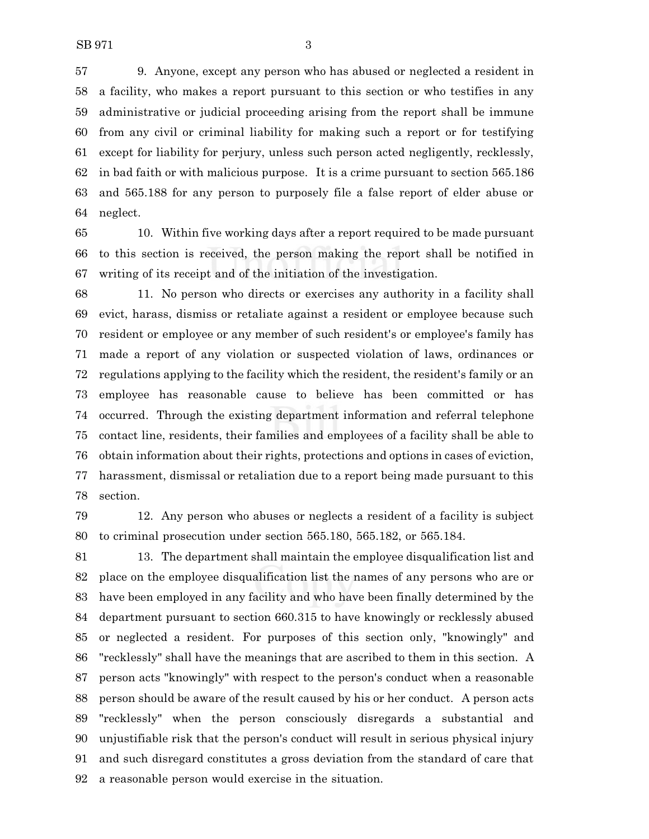9. Anyone, except any person who has abused or neglected a resident in a facility, who makes a report pursuant to this section or who testifies in any administrative or judicial proceeding arising from the report shall be immune from any civil or criminal liability for making such a report or for testifying except for liability for perjury, unless such person acted negligently, recklessly, in bad faith or with malicious purpose. It is a crime pursuant to section 565.186 and 565.188 for any person to purposely file a false report of elder abuse or neglect.

 10. Within five working days after a report required to be made pursuant to this section is received, the person making the report shall be notified in writing of its receipt and of the initiation of the investigation.

 11. No person who directs or exercises any authority in a facility shall evict, harass, dismiss or retaliate against a resident or employee because such resident or employee or any member of such resident's or employee's family has made a report of any violation or suspected violation of laws, ordinances or regulations applying to the facility which the resident, the resident's family or an employee has reasonable cause to believe has been committed or has occurred. Through the existing department information and referral telephone contact line, residents, their families and employees of a facility shall be able to obtain information about their rights, protections and options in cases of eviction, harassment, dismissal or retaliation due to a report being made pursuant to this section.

 12. Any person who abuses or neglects a resident of a facility is subject to criminal prosecution under section 565.180, 565.182, or 565.184.

 13. The department shall maintain the employee disqualification list and place on the employee disqualification list the names of any persons who are or have been employed in any facility and who have been finally determined by the department pursuant to section 660.315 to have knowingly or recklessly abused or neglected a resident. For purposes of this section only, "knowingly" and "recklessly" shall have the meanings that are ascribed to them in this section. A person acts "knowingly" with respect to the person's conduct when a reasonable person should be aware of the result caused by his or her conduct. A person acts "recklessly" when the person consciously disregards a substantial and unjustifiable risk that the person's conduct will result in serious physical injury and such disregard constitutes a gross deviation from the standard of care that a reasonable person would exercise in the situation.